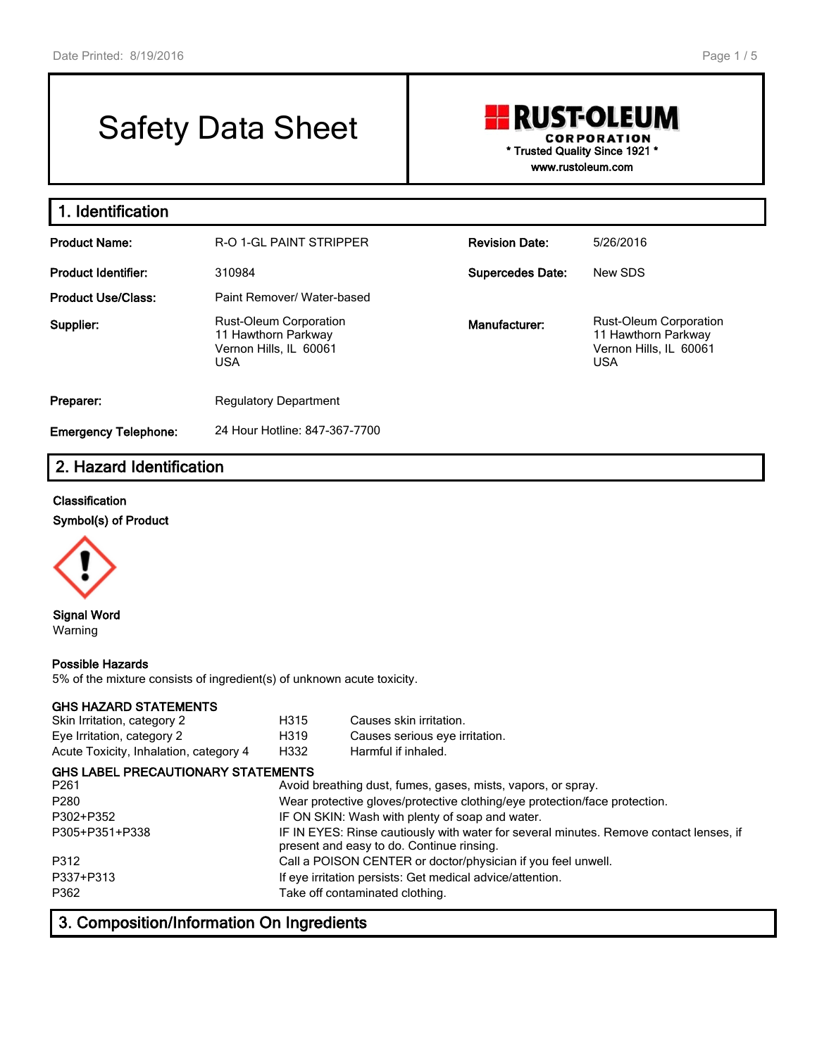# Safety Data Sheet

# **RUST-OLEUM CORPORATION \* Trusted Quality Since 1921 \* www.rustoleum.com**

**1. Identification Product Name:** R-O 1-GL PAINT STRIPPER **Revision Date:** 5/26/2016 **Product Identifier:** 310984 **Supercedes Date:** New SDS **Product Use/Class:** Paint Remover/ Water-based **Supplier:** Rust-Oleum Corporation 11 Hawthorn Parkway Vernon Hills, IL 60061 USA **Manufacturer:** Rust-Oleum Corporation 11 Hawthorn Parkway Vernon Hills, IL 60061 USA **Preparer:** Regulatory Department **Emergency Telephone:** 24 Hour Hotline: 847-367-7700

# **2. Hazard Identification**

#### **Classification**

**Symbol(s) of Product**



**Signal Word** Warning

#### **Possible Hazards**

5% of the mixture consists of ingredient(s) of unknown acute toxicity.

#### **GHS HAZARD STATEMENTS**

| Skin Irritation, category 2            | H315 | Causes skin irritation.        |
|----------------------------------------|------|--------------------------------|
| Eye Irritation, category 2             | H319 | Causes serious eve irritation. |
| Acute Toxicity, Inhalation, category 4 | H332 | Harmful if inhaled.            |

| <b>GHS LABEL PRECAUTIONARY STATEMENTS</b> |                                                                                                                                     |
|-------------------------------------------|-------------------------------------------------------------------------------------------------------------------------------------|
| P <sub>261</sub>                          | Avoid breathing dust, fumes, gases, mists, vapors, or spray.                                                                        |
| P <sub>280</sub>                          | Wear protective gloves/protective clothing/eye protection/face protection.                                                          |
| P302+P352                                 | IF ON SKIN: Wash with plenty of soap and water.                                                                                     |
| P305+P351+P338                            | IF IN EYES: Rinse cautiously with water for several minutes. Remove contact lenses, if<br>present and easy to do. Continue rinsing. |
| P312                                      | Call a POISON CENTER or doctor/physician if you feel unwell.                                                                        |
| P337+P313                                 | If eye irritation persists: Get medical advice/attention.                                                                           |
| P362                                      | Take off contaminated clothing.                                                                                                     |

# **3. Composition/Information On Ingredients**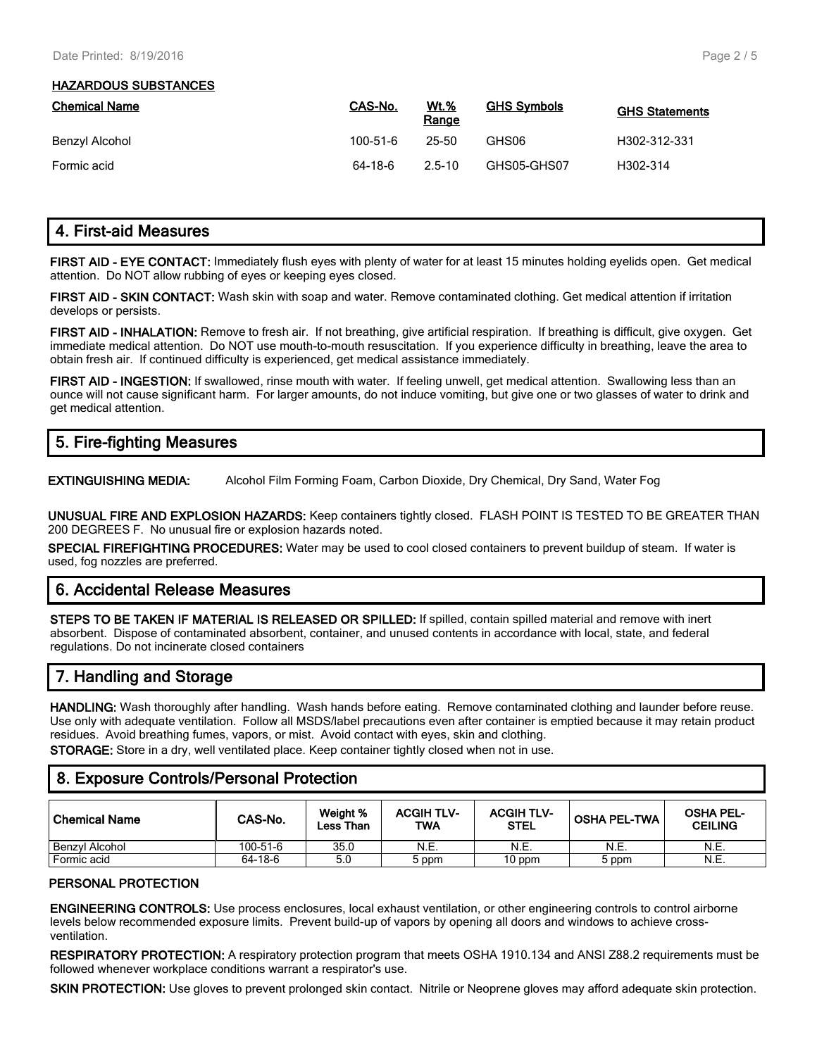#### **HAZARDOUS SUBSTANCES**

| <b>Chemical Name</b> | CAS-No.  | <b>Wt.%</b><br>Range | <b>GHS Symbols</b> | <b>GHS Statements</b> |
|----------------------|----------|----------------------|--------------------|-----------------------|
| Benzyl Alcohol       | 100-51-6 | 25-50                | GHS06              | H302-312-331          |
| Formic acid          | 64-18-6  | $2.5 - 10$           | GHS05-GHS07        | H302-314              |

# **4. First-aid Measures**

**FIRST AID - EYE CONTACT:** Immediately flush eyes with plenty of water for at least 15 minutes holding eyelids open. Get medical attention. Do NOT allow rubbing of eyes or keeping eyes closed.

**FIRST AID - SKIN CONTACT:** Wash skin with soap and water. Remove contaminated clothing. Get medical attention if irritation develops or persists.

**FIRST AID - INHALATION:** Remove to fresh air. If not breathing, give artificial respiration. If breathing is difficult, give oxygen. Get immediate medical attention. Do NOT use mouth-to-mouth resuscitation. If you experience difficulty in breathing, leave the area to obtain fresh air. If continued difficulty is experienced, get medical assistance immediately.

**FIRST AID - INGESTION:** If swallowed, rinse mouth with water. If feeling unwell, get medical attention. Swallowing less than an ounce will not cause significant harm. For larger amounts, do not induce vomiting, but give one or two glasses of water to drink and get medical attention.

# **5. Fire-fighting Measures**

**EXTINGUISHING MEDIA:** Alcohol Film Forming Foam, Carbon Dioxide, Dry Chemical, Dry Sand, Water Fog

**UNUSUAL FIRE AND EXPLOSION HAZARDS:** Keep containers tightly closed. FLASH POINT IS TESTED TO BE GREATER THAN 200 DEGREES F. No unusual fire or explosion hazards noted.

**SPECIAL FIREFIGHTING PROCEDURES:** Water may be used to cool closed containers to prevent buildup of steam. If water is used, fog nozzles are preferred.

# **6. Accidental Release Measures**

**STEPS TO BE TAKEN IF MATERIAL IS RELEASED OR SPILLED:** If spilled, contain spilled material and remove with inert absorbent. Dispose of contaminated absorbent, container, and unused contents in accordance with local, state, and federal regulations. Do not incinerate closed containers

# **7. Handling and Storage**

**HANDLING:** Wash thoroughly after handling. Wash hands before eating. Remove contaminated clothing and launder before reuse. Use only with adequate ventilation. Follow all MSDS/label precautions even after container is emptied because it may retain product residues. Avoid breathing fumes, vapors, or mist. Avoid contact with eyes, skin and clothing. **STORAGE:** Store in a dry, well ventilated place. Keep container tightly closed when not in use.

### **8. Exposure Controls/Personal Protection**

| ' Chemical Name | CAS-No.  | Weight %<br>Less Than | <b>ACGIH TLV-</b><br>TWA | <b>ACGIH TLV-</b><br><b>STEL</b> | <b>OSHA PEL-TWA</b> | <b>OSHA PEL-</b><br><b>CEILING</b> |
|-----------------|----------|-----------------------|--------------------------|----------------------------------|---------------------|------------------------------------|
| Benzyl Alcohol  | 100-51-6 | 35.0                  | N.E.                     | N.E.                             | N.E.                | N.E.                               |
| Formic acid     | 64-18-6  | 5.0                   | 5 ppm                    | 10 ppm                           | 5 ppm               | N.E.                               |

#### **PERSONAL PROTECTION**

**ENGINEERING CONTROLS:** Use process enclosures, local exhaust ventilation, or other engineering controls to control airborne levels below recommended exposure limits. Prevent build-up of vapors by opening all doors and windows to achieve crossventilation.

**RESPIRATORY PROTECTION:** A respiratory protection program that meets OSHA 1910.134 and ANSI Z88.2 requirements must be followed whenever workplace conditions warrant a respirator's use.

**SKIN PROTECTION:** Use gloves to prevent prolonged skin contact. Nitrile or Neoprene gloves may afford adequate skin protection.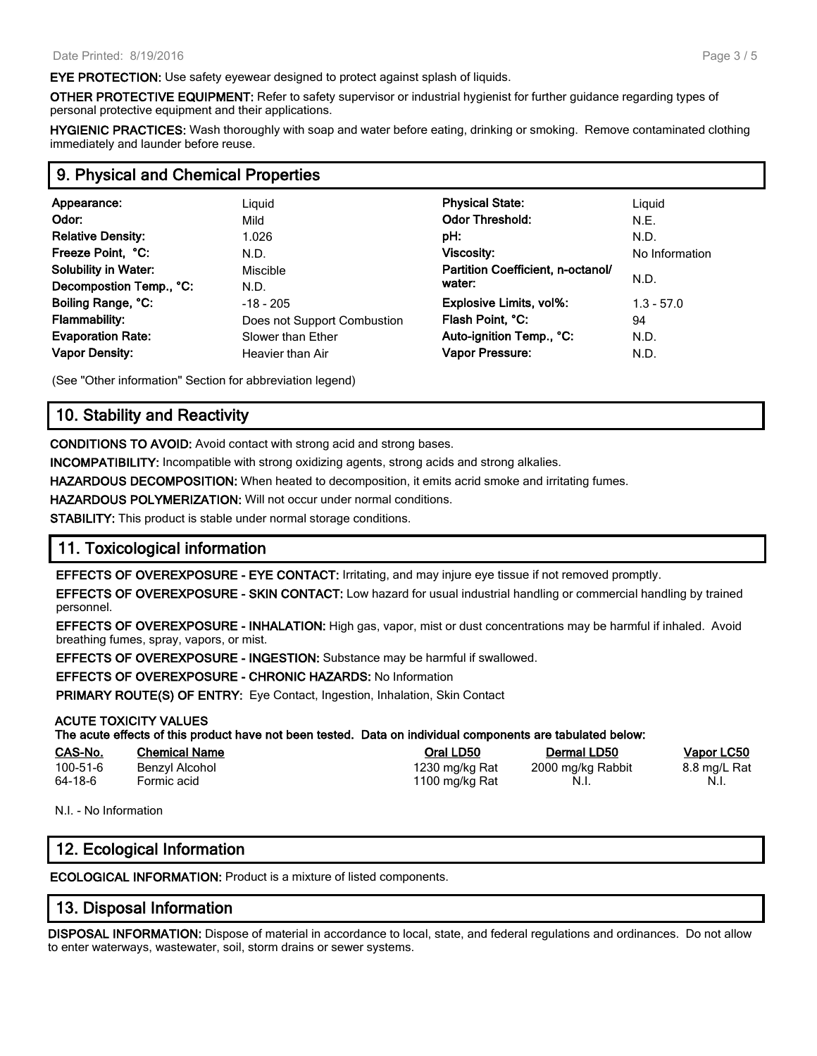**EYE PROTECTION:** Use safety eyewear designed to protect against splash of liquids.

**OTHER PROTECTIVE EQUIPMENT:** Refer to safety supervisor or industrial hygienist for further guidance regarding types of personal protective equipment and their applications.

**HYGIENIC PRACTICES:** Wash thoroughly with soap and water before eating, drinking or smoking. Remove contaminated clothing immediately and launder before reuse.

#### **9. Physical and Chemical Properties**

| Appearance:<br>Odor:<br><b>Relative Density:</b><br>Freeze Point, °C:<br><b>Solubility in Water:</b>                       | Liguid<br>Mild<br>1.026<br>N.D.<br>Miscible                                                 | <b>Physical State:</b><br><b>Odor Threshold:</b><br>pH:<br>Viscosity:<br>Partition Coefficient, n-octanol/<br>water: | Liguid<br>N.E.<br>N.D.<br>No Information<br>N.D. |
|----------------------------------------------------------------------------------------------------------------------------|---------------------------------------------------------------------------------------------|----------------------------------------------------------------------------------------------------------------------|--------------------------------------------------|
| Decompostion Temp., °C:<br>Boiling Range, °C:<br><b>Flammability:</b><br><b>Evaporation Rate:</b><br><b>Vapor Density:</b> | N.D.<br>$-18 - 205$<br>Does not Support Combustion<br>Slower than Ether<br>Heavier than Air | <b>Explosive Limits, vol%:</b><br>Flash Point, °C:<br>Auto-ignition Temp., °C:<br>Vapor Pressure:                    | $1.3 - 57.0$<br>94<br>N.D.<br>N.D.               |

(See "Other information" Section for abbreviation legend)

# **10. Stability and Reactivity**

**CONDITIONS TO AVOID:** Avoid contact with strong acid and strong bases.

**INCOMPATIBILITY:** Incompatible with strong oxidizing agents, strong acids and strong alkalies.

**HAZARDOUS DECOMPOSITION:** When heated to decomposition, it emits acrid smoke and irritating fumes.

**HAZARDOUS POLYMERIZATION:** Will not occur under normal conditions.

**STABILITY:** This product is stable under normal storage conditions.

### **11. Toxicological information**

**EFFECTS OF OVEREXPOSURE - EYE CONTACT:** Irritating, and may injure eye tissue if not removed promptly.

**EFFECTS OF OVEREXPOSURE - SKIN CONTACT:** Low hazard for usual industrial handling or commercial handling by trained personnel.

**EFFECTS OF OVEREXPOSURE - INHALATION:** High gas, vapor, mist or dust concentrations may be harmful if inhaled. Avoid breathing fumes, spray, vapors, or mist.

**EFFECTS OF OVEREXPOSURE - INGESTION:** Substance may be harmful if swallowed.

**EFFECTS OF OVEREXPOSURE - CHRONIC HAZARDS:** No Information

**PRIMARY ROUTE(S) OF ENTRY:** Eye Contact, Ingestion, Inhalation, Skin Contact

#### **ACUTE TOXICITY VALUES**

**The acute effects of this product have not been tested. Data on individual components are tabulated below:**

| CAS-No.  | <b>Chemical Name</b> | Oral LD50      | Dermal LD50       | Vapor LC50   |
|----------|----------------------|----------------|-------------------|--------------|
| 100-51-6 | Benzyl Alcohol       | 1230 mg/kg Rat | 2000 mg/kg Rabbit | 8.8 mg/L Rat |
| 64-18-6  | Formic acid          | 1100 mg/kg Rat | N.I.              | - N.i.       |

N.I. - No Information

# **12. Ecological Information**

**ECOLOGICAL INFORMATION:** Product is a mixture of listed components.

# **13. Disposal Information**

**DISPOSAL INFORMATION:** Dispose of material in accordance to local, state, and federal regulations and ordinances. Do not allow to enter waterways, wastewater, soil, storm drains or sewer systems.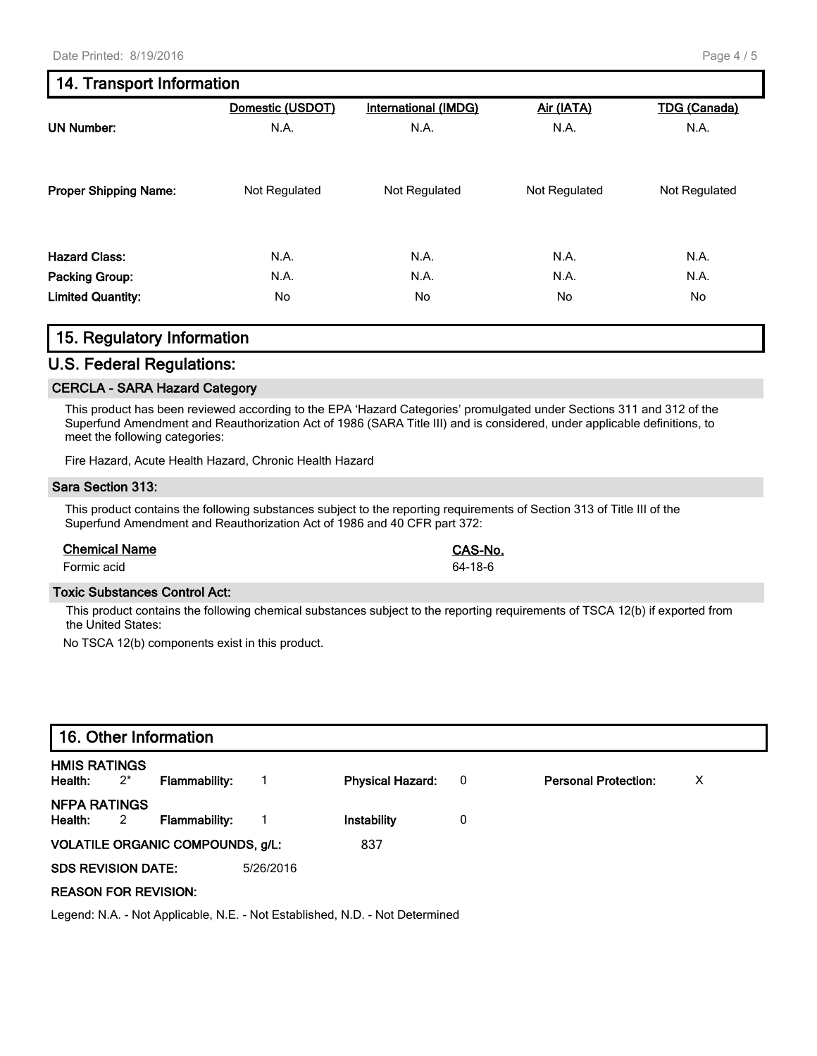# **14. Transport Information**

|                              | Domestic (USDOT) | <b>International (IMDG)</b> | Air (IATA)    | <b>TDG (Canada)</b> |
|------------------------------|------------------|-----------------------------|---------------|---------------------|
| <b>UN Number:</b>            | N.A.             | N.A.                        | N.A.          | N.A.                |
| <b>Proper Shipping Name:</b> | Not Regulated    | Not Regulated               | Not Regulated | Not Regulated       |
| <b>Hazard Class:</b>         | N.A.             | N.A.                        | N.A.          | N.A.                |
| <b>Packing Group:</b>        | N.A.             | N.A.                        | N.A.          | N.A.                |
| <b>Limited Quantity:</b>     | No               | No.                         | No.           | No                  |

# **15. Regulatory Information**

#### **U.S. Federal Regulations:**

#### **CERCLA - SARA Hazard Category**

This product has been reviewed according to the EPA 'Hazard Categories' promulgated under Sections 311 and 312 of the Superfund Amendment and Reauthorization Act of 1986 (SARA Title III) and is considered, under applicable definitions, to meet the following categories:

Fire Hazard, Acute Health Hazard, Chronic Health Hazard

#### **Sara Section 313:**

This product contains the following substances subject to the reporting requirements of Section 313 of Title III of the Superfund Amendment and Reauthorization Act of 1986 and 40 CFR part 372:

#### **Chemical Name CAS-No.**

Formic acid 64-18-6

#### **Toxic Substances Control Act:**

This product contains the following chemical substances subject to the reporting requirements of TSCA 12(b) if exported from the United States:

No TSCA 12(b) components exist in this product.

| 16. Other Information          |                         |                                         |           |                         |                          |                             |   |
|--------------------------------|-------------------------|-----------------------------------------|-----------|-------------------------|--------------------------|-----------------------------|---|
| <b>HMIS RATINGS</b><br>Health: | $2^*$                   | Flammability:                           |           | <b>Physical Hazard:</b> | $\overline{\phantom{0}}$ | <b>Personal Protection:</b> | х |
| <b>NFPA RATINGS</b><br>Health: | $\overline{\mathbf{2}}$ | <b>Flammability:</b>                    |           | Instability             | 0                        |                             |   |
|                                |                         | <b>VOLATILE ORGANIC COMPOUNDS, g/L:</b> |           | 837                     |                          |                             |   |
| <b>SDS REVISION DATE:</b>      |                         |                                         | 5/26/2016 |                         |                          |                             |   |
| <b>REASON FOR REVISION:</b>    |                         |                                         |           |                         |                          |                             |   |

Legend: N.A. - Not Applicable, N.E. - Not Established, N.D. - Not Determined